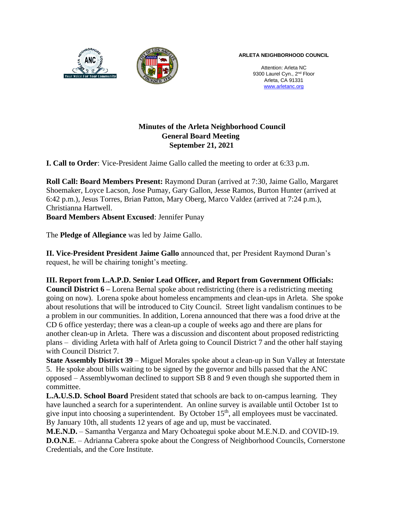

Attention: Arleta NC 9300 Laurel Cyn., 2<sup>nd</sup> Floor Arleta, CA 91331 www.arletanc.org

## **Minutes of the Arleta Neighborhood Council General Board Meeting September 21, 2021**

**I. Call to Order**: Vice-President Jaime Gallo called the meeting to order at 6:33 p.m.

**Roll Call: Board Members Present:** Raymond Duran (arrived at 7:30, Jaime Gallo, Margaret Shoemaker, Loyce Lacson, Jose Pumay, Gary Gallon, Jesse Ramos, Burton Hunter (arrived at 6:42 p.m.), Jesus Torres, Brian Patton, Mary Oberg, Marco Valdez (arrived at 7:24 p.m.), Christianna Hartwell.

**Board Members Absent Excused**: Jennifer Punay

The **Pledge of Allegiance** was led by Jaime Gallo.

**II. Vice-President President Jaime Gallo** announced that, per President Raymond Duran's request, he will be chairing tonight's meeting.

**III. Report from L.A.P.D. Senior Lead Officer, and Report from Government Officials: Council District 6 –** Lorena Bernal spoke about redistricting (there is a redistricting meeting going on now). Lorena spoke about homeless encampments and clean-ups in Arleta. She spoke about resolutions that will be introduced to City Council. Street light vandalism continues to be a problem in our communities. In addition, Lorena announced that there was a food drive at the CD 6 office yesterday; there was a clean-up a couple of weeks ago and there are plans for another clean-up in Arleta. There was a discussion and discontent about proposed redistricting plans – dividing Arleta with half of Arleta going to Council District 7 and the other half staying with Council District 7.

**State Assembly District 39** – Miguel Morales spoke about a clean-up in Sun Valley at Interstate 5. He spoke about bills waiting to be signed by the governor and bills passed that the ANC opposed – Assemblywoman declined to support SB 8 and 9 even though she supported them in committee.

**L.A.U.S.D. School Board** President stated that schools are back to on-campus learning. They have launched a search for a superintendent. An online survey is available until October 1st to give input into choosing a superintendent. By October  $15<sup>th</sup>$ , all employees must be vaccinated. By January 10th, all students 12 years of age and up, must be vaccinated.

**M.E.N.D.** – Samantha Verganza and Mary Ochoategui spoke about M.E.N.D. and COVID-19.

**D.O.N.E**. – Adrianna Cabrera spoke about the Congress of Neighborhood Councils, Cornerstone Credentials, and the Core Institute.